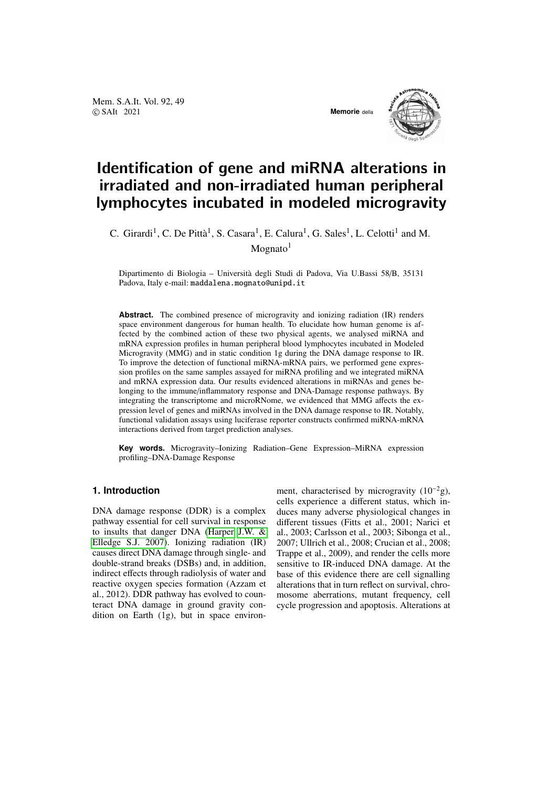Mem. S.A.It. Vol. 92, 49 © SAIt 2021 **Memorie** della



# Identification of gene and miRNA alterations in irradiated and non-irradiated human peripheral lymphocytes incubated in modeled microgravity

C. Girardi<sup>1</sup>, C. De Pittà<sup>1</sup>, S. Casara<sup>1</sup>, E. Calura<sup>1</sup>, G. Sales<sup>1</sup>, L. Celotti<sup>1</sup> and M.  $M$ ognato $1$ 

Dipartimento di Biologia – Università degli Studi di Padova, Via U.Bassi 58/B, 35131 Padova, Italy e-mail: maddalena.mognato@unipd.it

**Abstract.** The combined presence of microgravity and ionizing radiation (IR) renders space environment dangerous for human health. To elucidate how human genome is affected by the combined action of these two physical agents, we analysed miRNA and mRNA expression profiles in human peripheral blood lymphocytes incubated in Modeled Microgravity (MMG) and in static condition 1g during the DNA damage response to IR. To improve the detection of functional miRNA-mRNA pairs, we performed gene expression profiles on the same samples assayed for miRNA profiling and we integrated miRNA and mRNA expression data. Our results evidenced alterations in miRNAs and genes belonging to the immune/inflammatory response and DNA-Damage response pathways. By integrating the transcriptome and microRNome, we evidenced that MMG affects the expression level of genes and miRNAs involved in the DNA damage response to IR. Notably, functional validation assays using luciferase reporter constructs confirmed miRNA-mRNA interactions derived from target prediction analyses.

**Key words.** Microgravity–Ionizing Radiation–Gene Expression–MiRNA expression profiling–DNA-Damage Response

#### **1. Introduction**

DNA damage response (DDR) is a complex pathway essential for cell survival in response to insults that danger DNA [\(Harper J.W. &](#page-3-0) [Elledge S.J. 2007\)](#page-3-0). Ionizing radiation (IR) causes direct DNA damage through single- and double-strand breaks (DSBs) and, in addition, indirect effects through radiolysis of water and reactive oxygen species formation (Azzam et al., 2012). DDR pathway has evolved to counteract DNA damage in ground gravity condition on Earth (1g), but in space environment, characterised by microgravity  $(10^{-2}g)$ , cells experience a different status, which induces many adverse physiological changes in different tissues (Fitts et al., 2001; Narici et al., 2003; Carlsson et al., 2003; Sibonga et al., 2007; Ullrich et al., 2008; Crucian et al., 2008; Trappe et al., 2009), and render the cells more sensitive to IR-induced DNA damage. At the base of this evidence there are cell signalling alterations that in turn reflect on survival, chromosome aberrations, mutant frequency, cell cycle progression and apoptosis. Alterations at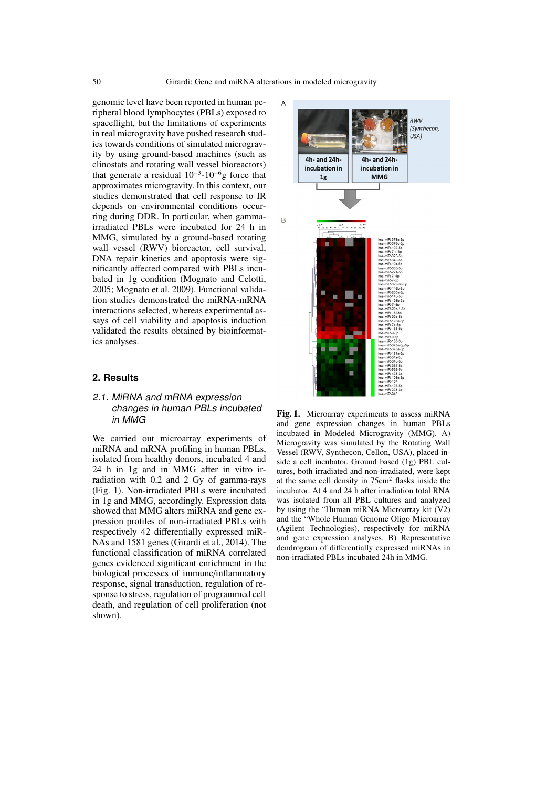genomic level have been reported in human peripheral blood lymphocytes (PBLs) exposed to spaceflight, but the limitations of experiments in real microgravity have pushed research studies towards conditions of simulated microgravity by using ground-based machines (such as clinostats and rotating wall vessel bioreactors) that generate a residual  $10^{-3}$ - $10^{-6}$ g force that approximates microgravity. In this context, our studies demonstrated that cell response to IR depends on environmental conditions occurring during DDR. In particular, when gammairradiated PBLs were incubated for 24 h in MMG, simulated by a ground-based rotating wall vessel (RWV) bioreactor, cell survival, DNA repair kinetics and apoptosis were significantly affected compared with PBLs incubated in 1g condition (Mognato and Celotti, 2005; Mognato et al. 2009). Functional validation studies demonstrated the miRNA-mRNA interactions selected, whereas experimental assays of cell viability and apoptosis induction validated the results obtained by bioinformatics analyses.

#### **2. Results**

## 2.1. MiRNA and mRNA expression changes in human PBLs incubated in MMG

We carried out microarray experiments of miRNA and mRNA profiling in human PBLs, isolated from healthy donors, incubated 4 and 24 h in 1g and in MMG after in vitro irradiation with 0.2 and 2 Gy of gamma-rays (Fig. 1). Non-irradiated PBLs were incubated in 1g and MMG, accordingly. Expression data showed that MMG alters miRNA and gene expression profiles of non-irradiated PBLs with respectively 42 differentially expressed miR-NAs and 1581 genes (Girardi et al., 2014). The functional classification of miRNA correlated genes evidenced significant enrichment in the biological processes of immune/inflammatory response, signal transduction, regulation of response to stress, regulation of programmed cell death, and regulation of cell proliferation (not shown).



Fig. 1. Microarray experiments to assess miRNA and gene expression changes in human PBLs incubated in Modeled Microgravity (MMG). A) Microgravity was simulated by the Rotating Wall Vessel (RWV, Synthecon, Cellon, USA), placed inside a cell incubator. Ground based (1g) PBL cultures, both irradiated and non-irradiated, were kept at the same cell density in 75cm<sup>2</sup> flasks inside the incubator. At 4 and 24 h after irradiation total RNA was isolated from all PBL cultures and analyzed by using the "Human miRNA Microarray kit (V2) and the "Whole Human Genome Oligo Microarray (Agilent Technologies), respectively for miRNA and gene expression analyses. B) Representative dendrogram of differentially expressed miRNAs in non-irradiated PBLs incubated 24h in MMG.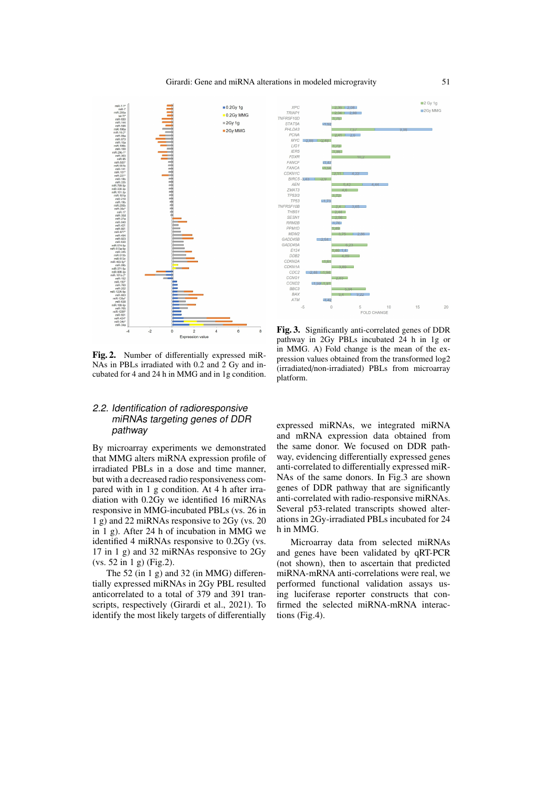



Fig. 2. Number of differentially expressed miR-NAs in PBLs irradiated with 0.2 and 2 Gy and incubated for 4 and 24 h in MMG and in 1g condition.

## 2.2. Identification of radioresponsive miRNAs targeting genes of DDR pathway

By microarray experiments we demonstrated that MMG alters miRNA expression profile of irradiated PBLs in a dose and time manner, but with a decreased radio responsiveness compared with in 1 g condition. At 4 h after irradiation with 0.2Gy we identified 16 miRNAs responsive in MMG-incubated PBLs (vs. 26 in 1 g) and 22 miRNAs responsive to 2Gy (vs. 20 in 1 g). After 24 h of incubation in MMG we identified 4 miRNAs responsive to 0.2Gy (vs. 17 in 1 g) and 32 miRNAs responsive to 2Gy (vs. 52 in 1 g) (Fig.2).

The 52 (in 1 g) and 32 (in MMG) differentially expressed miRNAs in 2Gy PBL resulted anticorrelated to a total of 379 and 391 transcripts, respectively (Girardi et al., 2021). To identify the most likely targets of differentially

Fig. 3. Significantly anti-correlated genes of DDR pathway in 2Gy PBLs incubated 24 h in 1g or in MMG. A) Fold change is the mean of the expression values obtained from the transformed log2 (irradiated/non-irradiated) PBLs from microarray platform.

expressed miRNAs, we integrated miRNA and mRNA expression data obtained from the same donor. We focused on DDR pathway, evidencing differentially expressed genes anti-correlated to differentially expressed miR-NAs of the same donors. In Fig.3 are shown genes of DDR pathway that are significantly anti-correlated with radio-responsive miRNAs. Several p53-related transcripts showed alterations in 2Gy-irradiated PBLs incubated for 24 h in MMG.

Microarray data from selected miRNAs and genes have been validated by qRT-PCR (not shown), then to ascertain that predicted miRNA-mRNA anti-correlations were real, we performed functional validation assays using luciferase reporter constructs that confirmed the selected miRNA-mRNA interactions (Fig.4).